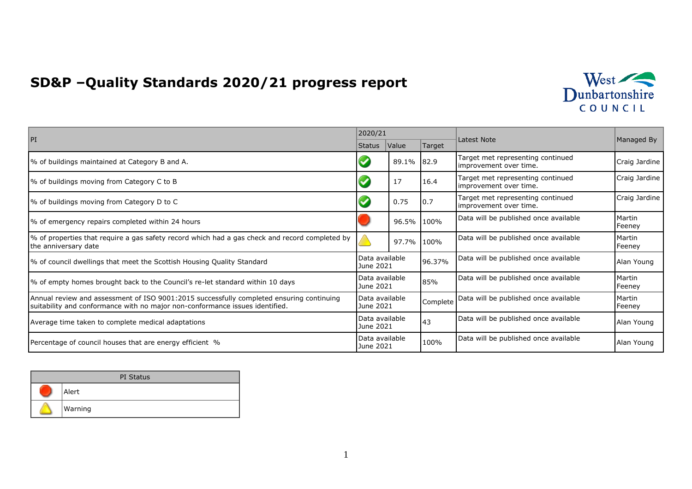## **SD&P –Quality Standards 2020/21 progress report**



| PI                                                                                                                                                                       | 2020/21                     |       |          | Latest Note                                                 |                  |
|--------------------------------------------------------------------------------------------------------------------------------------------------------------------------|-----------------------------|-------|----------|-------------------------------------------------------------|------------------|
|                                                                                                                                                                          | Status                      | Value | Target   |                                                             | Managed By       |
| % of buildings maintained at Category B and A.                                                                                                                           |                             | 89.1% | 82.9     | Target met representing continued<br>improvement over time. | Craig Jardine    |
| % of buildings moving from Category C to B                                                                                                                               |                             | 17    | 16.4     | Target met representing continued<br>improvement over time. | Craig Jardine    |
| % of buildings moving from Category D to C                                                                                                                               |                             | 0.75  | 0.7      | Target met representing continued<br>improvement over time. | Craig Jardine    |
| % of emergency repairs completed within 24 hours                                                                                                                         |                             | 96.5% | 100%     | Data will be published once available                       | Martin<br>Feeney |
| % of properties that require a gas safety record which had a gas check and record completed by<br>the anniversary date                                                   |                             | 97.7% | 100%     | Data will be published once available                       | Martin<br>Feeney |
| 1% of council dwellings that meet the Scottish Housing Quality Standard                                                                                                  | Data available<br>June 2021 |       | 96.37%   | Data will be published once available                       | Alan Young       |
| % of empty homes brought back to the Council's re-let standard within 10 days                                                                                            | Data available<br>June 2021 |       | 85%      | Data will be published once available                       | Martin<br>Feeney |
| Annual review and assessment of ISO 9001:2015 successfully completed ensuring continuing<br>suitability and conformance with no major non-conformance issues identified. | Data available<br>June 2021 |       | Complete | Data will be published once available                       | Martin<br>Feeney |
| Average time taken to complete medical adaptations                                                                                                                       | Data available<br>June 2021 |       | 43       | Data will be published once available                       | Alan Young       |
| Percentage of council houses that are energy efficient %                                                                                                                 | Data available<br>June 2021 |       | 100%     | Data will be published once available                       | Alan Young       |